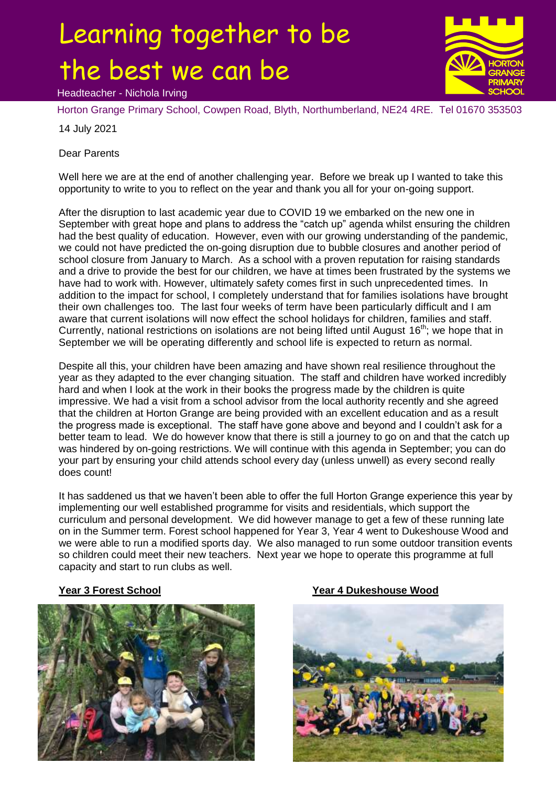# Learning together to be the best we can be





Horton Grange Primary School, Cowpen Road, Blyth, Northumberland, NE24 4RE. Tel 01670 353503

14 July 2021

Dear Parents

Well here we are at the end of another challenging year. Before we break up I wanted to take this opportunity to write to you to reflect on the year and thank you all for your on-going support.

After the disruption to last academic year due to COVID 19 we embarked on the new one in September with great hope and plans to address the "catch up" agenda whilst ensuring the children had the best quality of education. However, even with our growing understanding of the pandemic, we could not have predicted the on-going disruption due to bubble closures and another period of school closure from January to March. As a school with a proven reputation for raising standards and a drive to provide the best for our children, we have at times been frustrated by the systems we have had to work with. However, ultimately safety comes first in such unprecedented times. In addition to the impact for school, I completely understand that for families isolations have brought their own challenges too. The last four weeks of term have been particularly difficult and I am aware that current isolations will now effect the school holidays for children, families and staff. Currently, national restrictions on isolations are not being lifted until August  $16<sup>th</sup>$ ; we hope that in September we will be operating differently and school life is expected to return as normal.

Despite all this, your children have been amazing and have shown real resilience throughout the year as they adapted to the ever changing situation. The staff and children have worked incredibly hard and when I look at the work in their books the progress made by the children is quite impressive. We had a visit from a school advisor from the local authority recently and she agreed that the children at Horton Grange are being provided with an excellent education and as a result the progress made is exceptional. The staff have gone above and beyond and I couldn't ask for a better team to lead. We do however know that there is still a journey to go on and that the catch up was hindered by on-going restrictions. We will continue with this agenda in September; you can do your part by ensuring your child attends school every day (unless unwell) as every second really does count!

It has saddened us that we haven't been able to offer the full Horton Grange experience this year by implementing our well established programme for visits and residentials, which support the curriculum and personal development. We did however manage to get a few of these running late on in the Summer term. Forest school happened for Year 3, Year 4 went to Dukeshouse Wood and we were able to run a modified sports day. We also managed to run some outdoor transition events so children could meet their new teachers. Next year we hope to operate this programme at full capacity and start to run clubs as well.



## **Year 3 Forest School Year 4 Dukeshouse Wood**